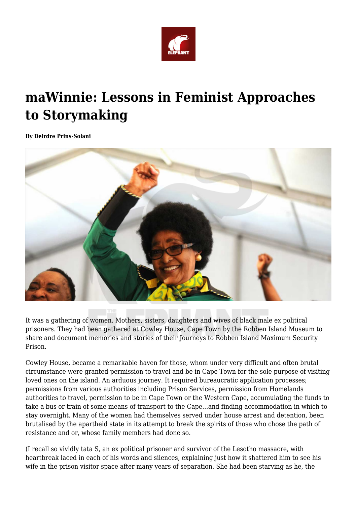

## **maWinnie: Lessons in Feminist Approaches to Storymaking**

**By Deirdre Prins-Solani**



It was a gathering of women. Mothers, sisters, daughters and wives of black male ex political prisoners. They had been gathered at Cowley House, Cape Town by the Robben Island Museum to share and document memories and stories of their Journeys to Robben Island Maximum Security Prison.

Cowley House, became a remarkable haven for those, whom under very difficult and often brutal circumstance were granted permission to travel and be in Cape Town for the sole purpose of visiting loved ones on the island. An arduous journey. It required bureaucratic application processes; permissions from various authorities including Prison Services, permission from Homelands authorities to travel, permission to be in Cape Town or the Western Cape, accumulating the funds to take a bus or train of some means of transport to the Cape…and finding accommodation in which to stay overnight. Many of the women had themselves served under house arrest and detention, been brutalised by the apartheid state in its attempt to break the spirits of those who chose the path of resistance and or, whose family members had done so.

(I recall so vividly tata S, an ex political prisoner and survivor of the Lesotho massacre, with heartbreak laced in each of his words and silences, explaining just how it shattered him to see his wife in the prison visitor space after many years of separation. She had been starving as he, the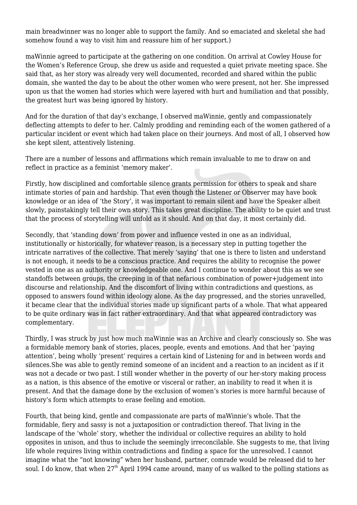main breadwinner was no longer able to support the family. And so emaciated and skeletal she had somehow found a way to visit him and reassure him of her support.)

maWinnie agreed to participate at the gathering on one condition. On arrival at Cowley House for the Women's Reference Group, she drew us aside and requested a quiet private meeting space. She said that, as her story was already very well documented, recorded and shared within the public domain, she wanted the day to be about the other women who were present, not her. She impressed upon us that the women had stories which were layered with hurt and humiliation and that possibly, the greatest hurt was being ignored by history.

And for the duration of that day's exchange, I observed maWinnie, gently and compassionately deflecting attempts to defer to her. Calmly prodding and reminding each of the women gathered of a particular incident or event which had taken place on their journeys. And most of all, I observed how she kept silent, attentively listening.

There are a number of lessons and affirmations which remain invaluable to me to draw on and reflect in practice as a feminist 'memory maker'.

Firstly, how disciplined and comfortable silence grants permission for others to speak and share intimate stories of pain and hardship. That even though the Listener or Observer may have book knowledge or an idea of 'the Story', it was important to remain silent and have the Speaker albeit slowly, painstakingly tell their own story. This takes great discipline. The ability to be quiet and trust that the process of storytelling will unfold as it should. And on that day, it most certainly did.

Secondly, that 'standing down' from power and influence vested in one as an individual, institutionally or historically, for whatever reason, is a necessary step in putting together the intricate narratives of the collective. That merely 'saying' that one is there to listen and understand is not enough, it needs to be a conscious practice. And requires the ability to recognise the power vested in one as an authority or knowledgeable one. And I continue to wonder about this as we see standoffs between groups, the creeping in of that nefarious combination of power+judgement into discourse and relationship. And the discomfort of living within contradictions and questions, as opposed to answers found within ideology alone. As the day progressed, and the stories unravelled, it became clear that the individual stories made up significant parts of a whole. That what appeared to be quite ordinary was in fact rather extraordinary. And that what appeared contradictory was complementary.

Thirdly, I was struck by just how much maWinnie was an Archive and clearly consciously so. She was a formidable memory bank of stories, places, people, events and emotions. And that her 'paying attention', being wholly 'present' requires a certain kind of Listening for and in between words and silences.She was able to gently remind someone of an incident and a reaction to an incident as if it was not a decade or two past. I still wonder whether in the poverty of our her-story making process as a nation, is this absence of the emotive or visceral or rather, an inability to read it when it is present. And that the damage done by the exclusion of women's stories is more harmful because of history's form which attempts to erase feeling and emotion.

Fourth, that being kind, gentle and compassionate are parts of maWinnie's whole. That the formidable, fiery and sassy is not a juxtaposition or contradiction thereof. That living in the landscape of the 'whole' story, whether the individual or collective requires an ability to hold opposites in unison, and thus to include the seemingly irreconcilable. She suggests to me, that living life whole requires living within contradictions and finding a space for the unresolved. I cannot imagine what the "not knowing" when her husband, partner, comrade would be released did to her soul. I do know, that when 27<sup>th</sup> April 1994 came around, many of us walked to the polling stations as